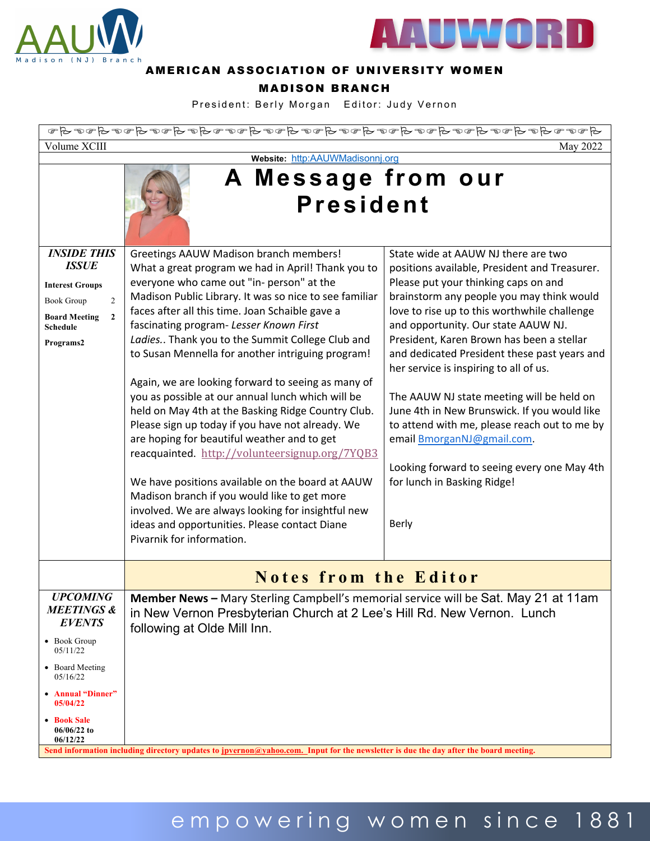



### AMERICAN ASSOCIATION OF UNIVERSITY WOMEN

### MADISON BRANCH

President: Berly Morgan Editor: Judy Vernon

| $A \circ \sigma \circ A \circ A \circ \sigma \circ A \circ \sigma \circ A \circ \sigma \circ A \circ \sigma \circ A \circ \sigma \circ A \circ \sigma \circ A \circ \sigma \circ A \circ \sigma \circ A \circ \sigma \circ A \circ \sigma \circ A \circ \sigma \circ A \circ \sigma \circ A \circ \sigma \circ A \circ \sigma \circ A \circ \sigma \circ A \circ \sigma \circ A \circ \sigma \circ A \circ \sigma \circ A \circ \sigma \circ A \circ \sigma \circ A \circ \sigma \circ A \circ \sigma \circ A \circ \sigma \circ A \circ \sigma \circ A \circ \sigma \circ A \circ \sigma \circ A \circ \sigma \circ A \circ \sigma \circ A \circ \sigma \circ A \circ \sigma \circ$ |                                                                                                                                                                                                                                                                                                                                                                                                                                                                                                                                                                                                                                                                                                                                                                                                                                                                                                                                                                         |                                                                                                                                                                                                                                                                                                                                                                                                                                                                                                                                                                                                                                                                           |
|--------------------------------------------------------------------------------------------------------------------------------------------------------------------------------------------------------------------------------------------------------------------------------------------------------------------------------------------------------------------------------------------------------------------------------------------------------------------------------------------------------------------------------------------------------------------------------------------------------------------------------------------------------------------------------------|-------------------------------------------------------------------------------------------------------------------------------------------------------------------------------------------------------------------------------------------------------------------------------------------------------------------------------------------------------------------------------------------------------------------------------------------------------------------------------------------------------------------------------------------------------------------------------------------------------------------------------------------------------------------------------------------------------------------------------------------------------------------------------------------------------------------------------------------------------------------------------------------------------------------------------------------------------------------------|---------------------------------------------------------------------------------------------------------------------------------------------------------------------------------------------------------------------------------------------------------------------------------------------------------------------------------------------------------------------------------------------------------------------------------------------------------------------------------------------------------------------------------------------------------------------------------------------------------------------------------------------------------------------------|
| Volume XCIII<br>May 2022                                                                                                                                                                                                                                                                                                                                                                                                                                                                                                                                                                                                                                                             |                                                                                                                                                                                                                                                                                                                                                                                                                                                                                                                                                                                                                                                                                                                                                                                                                                                                                                                                                                         |                                                                                                                                                                                                                                                                                                                                                                                                                                                                                                                                                                                                                                                                           |
| Website: http:AAUWMadisonnj.org                                                                                                                                                                                                                                                                                                                                                                                                                                                                                                                                                                                                                                                      |                                                                                                                                                                                                                                                                                                                                                                                                                                                                                                                                                                                                                                                                                                                                                                                                                                                                                                                                                                         |                                                                                                                                                                                                                                                                                                                                                                                                                                                                                                                                                                                                                                                                           |
|                                                                                                                                                                                                                                                                                                                                                                                                                                                                                                                                                                                                                                                                                      | A Message from our<br><b>President</b>                                                                                                                                                                                                                                                                                                                                                                                                                                                                                                                                                                                                                                                                                                                                                                                                                                                                                                                                  |                                                                                                                                                                                                                                                                                                                                                                                                                                                                                                                                                                                                                                                                           |
| <b>INSIDE THIS</b><br><b>ISSUE</b><br><b>Interest Groups</b><br><b>Book Group</b><br>$\overline{2}$<br>$\mathbf{2}$<br><b>Board Meeting</b><br><b>Schedule</b><br>Programs2                                                                                                                                                                                                                                                                                                                                                                                                                                                                                                          | Greetings AAUW Madison branch members!<br>What a great program we had in April! Thank you to<br>everyone who came out "in- person" at the<br>Madison Public Library. It was so nice to see familiar<br>faces after all this time. Joan Schaible gave a<br>fascinating program- Lesser Known First<br>Ladies Thank you to the Summit College Club and<br>to Susan Mennella for another intriguing program!<br>Again, we are looking forward to seeing as many of<br>you as possible at our annual lunch which will be<br>held on May 4th at the Basking Ridge Country Club.<br>Please sign up today if you have not already. We<br>are hoping for beautiful weather and to get<br>reacquainted. http://volunteersignup.org/7YQB3<br>We have positions available on the board at AAUW<br>Madison branch if you would like to get more<br>involved. We are always looking for insightful new<br>ideas and opportunities. Please contact Diane<br>Pivarnik for information. | State wide at AAUW NJ there are two<br>positions available, President and Treasurer.<br>Please put your thinking caps on and<br>brainstorm any people you may think would<br>love to rise up to this worthwhile challenge<br>and opportunity. Our state AAUW NJ.<br>President, Karen Brown has been a stellar<br>and dedicated President these past years and<br>her service is inspiring to all of us.<br>The AAUW NJ state meeting will be held on<br>June 4th in New Brunswick. If you would like<br>to attend with me, please reach out to me by<br>email BmorganNJ@gmail.com.<br>Looking forward to seeing every one May 4th<br>for lunch in Basking Ridge!<br>Berly |
|                                                                                                                                                                                                                                                                                                                                                                                                                                                                                                                                                                                                                                                                                      | <b>Notes from the Editor</b>                                                                                                                                                                                                                                                                                                                                                                                                                                                                                                                                                                                                                                                                                                                                                                                                                                                                                                                                            |                                                                                                                                                                                                                                                                                                                                                                                                                                                                                                                                                                                                                                                                           |
| <b>UPCOMING</b><br><b>MEETINGS &amp;</b><br><b>EVENTS</b><br>• Book Group<br>05/11/22<br>• Board Meeting<br>05/16/22<br>• Annual "Dinner"<br>05/04/22<br>• Book Sale<br>$06/06/22$ to<br>06/12/22                                                                                                                                                                                                                                                                                                                                                                                                                                                                                    | <b>Member News</b> – Mary Sterling Campbell's memorial service will be Sat. May 21 at 11am<br>in New Vernon Presbyterian Church at 2 Lee's Hill Rd. New Vernon. Lunch<br>following at Olde Mill Inn.                                                                                                                                                                                                                                                                                                                                                                                                                                                                                                                                                                                                                                                                                                                                                                    |                                                                                                                                                                                                                                                                                                                                                                                                                                                                                                                                                                                                                                                                           |

# empowering women since 188 1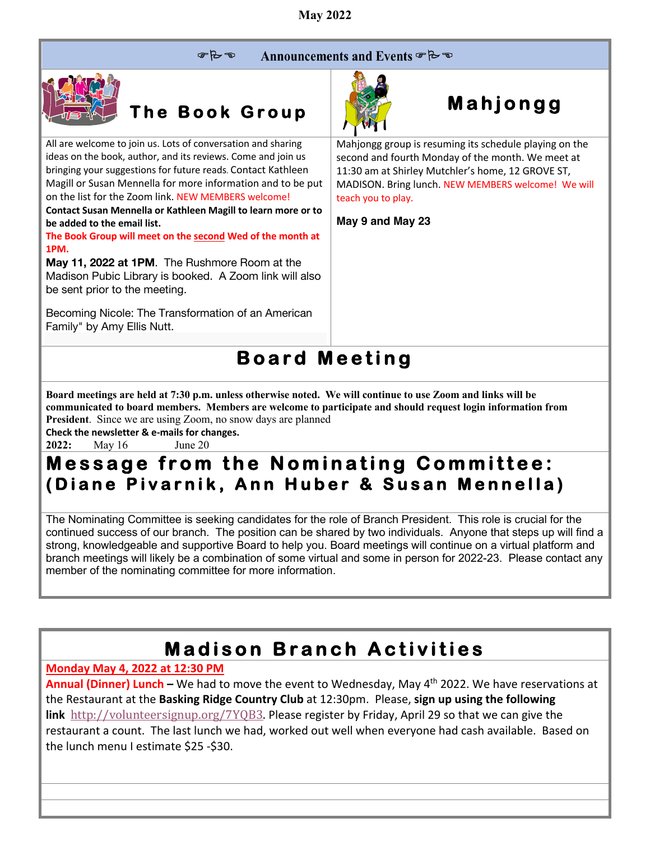$P - P$ Announcements and Events & B



**The Book Group**

All are welcome to join us. Lots of conversation and sharing ideas on the book, author, and its reviews. Come and join us bringing your suggestions for future reads. Contact Kathleen Magill or Susan Mennella for more information and to be put on the list for the Zoom link. NEW MEMBERS welcome! **Contact Susan Mennella or Kathleen Magill to learn more or to** 

**be added to the email list. The Book Group will meet on the second Wed of the month at 1PM.**

**May 11, 2022 at 1PM**. The Rushmore Room at the Madison Pubic Library is booked. A Zoom link will also be sent prior to the meeting.

Becoming Nicole: The Transformation of an American Family" by Amy Ellis Nutt.



# **Mahjongg**

Mahjongg group is resuming its schedule playing on the second and fourth Monday of the month. We meet at 11:30 am at Shirley Mutchler's home, 12 GROVE ST, MADISON. Bring lunch. NEW MEMBERS welcome! We will teach you to play.

**May 9 and May 23**

## **Board Meeting**

**Board meetings are held at 7:30 p.m. unless otherwise noted. We will continue to use Zoom and links will be communicated to board members. Members are welcome to participate and should request login information from President**. Since we are using Zoom, no snow days are planned

**Check the newsletter & e-mails for changes.**

**2022:** May 16 June 20

### **Message from the Nominating Committee: (Diane Pivarnik, Ann Huber & Susan Mennella)**

The Nominating Committee is seeking candidates for the role of Branch President. This role is crucial for the continued success of our branch. The position can be shared by two individuals. Anyone that steps up will find a strong, knowledgeable and supportive Board to help you. Board meetings will continue on a virtual platform and branch meetings will likely be a combination of some virtual and some in person for 2022-23. Please contact any member of the nominating committee for more information.

## **Madison Branch Activities**

### **Monday May 4, 2022 at 12:30 PM**

**Annual (Dinner) Lunch –** We had to move the event to Wednesday, May 4<sup>th</sup> 2022. We have reservations at the Restaurant at the **Basking Ridge Country Club** at 12:30pm. Please, **sign up using the following link** http://volunteersignup.org/7YQB3. Please register by Friday, April 29 so that we can give the restaurant a count. The last lunch we had, worked out well when everyone had cash available. Based on the lunch menu I estimate \$25 -\$30.